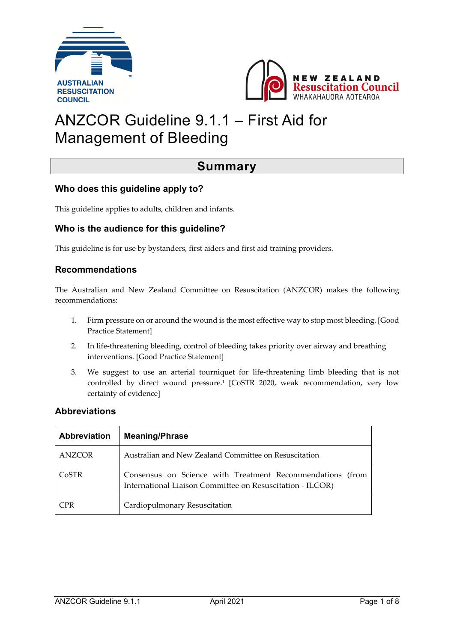



# ANZCOR Guideline 9.1.1 – First Aid for Management of Bleeding

### **Summary**

#### **Who does this guideline apply to?**

This guideline applies to adults, children and infants.

#### **Who is the audience for this guideline?**

This guideline is for use by bystanders, first aiders and first aid training providers.

#### **Recommendations**

The Australian and New Zealand Committee on Resuscitation (ANZCOR) makes the following recommendations:

- 1. Firm pressure on or around the wound is the most effective way to stop most bleeding. [Good Practice Statement]
- 2. In life-threatening bleeding, control of bleeding takes priority over airway and breathing interventions. [Good Practice Statement]
- 3. We suggest to use an arterial tourniquet for life-threatening limb bleeding that is not controlled by direct wound pressure. <sup>1</sup> [CoSTR 2020, weak recommendation, very low certainty of evidence]

#### **Abbreviations**

| <b>Abbreviation</b> | <b>Meaning/Phrase</b>                                                                                                  |
|---------------------|------------------------------------------------------------------------------------------------------------------------|
| ANZCOR              | Australian and New Zealand Committee on Resuscitation                                                                  |
| CoSTR               | Consensus on Science with Treatment Recommendations (from<br>International Liaison Committee on Resuscitation - ILCOR) |
| CPR                 | Cardiopulmonary Resuscitation                                                                                          |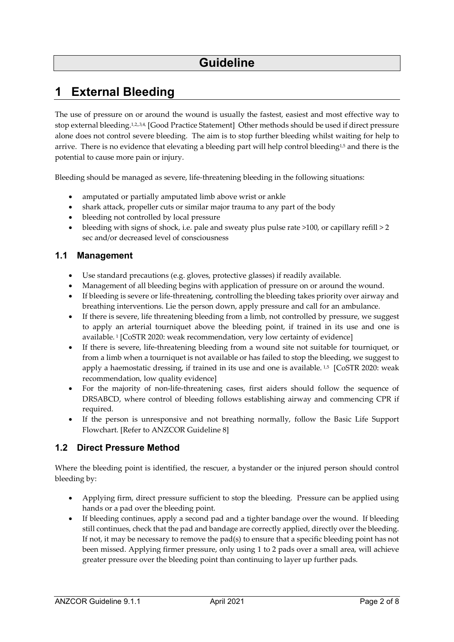## **1 External Bleeding**

The use of pressure on or around the wound is usually the fastest, easiest and most effective way to stop external bleeding.<sup>1,2,3,4</sup>, [Good Practice Statement] Other methods should be used if direct pressure alone does not control severe bleeding. The aim is to stop further bleeding whilst waiting for help to arrive. There is no evidence that elevating a bleeding part will help control bleeding<sup>1,5</sup> and there is the potential to cause more pain or injury.

Bleeding should be managed as severe, life-threatening bleeding in the following situations:

- amputated or partially amputated limb above wrist or ankle
- shark attack, propeller cuts or similar major trauma to any part of the body
- bleeding not controlled by local pressure
- bleeding with signs of shock, i.e. pale and sweaty plus pulse rate  $>100$ , or capillary refill  $>2$ sec and/or decreased level of consciousness

### **1.1 Management**

- Use standard precautions (e.g. gloves, protective glasses) if readily available.
- Management of all bleeding begins with application of pressure on or around the wound.
- If bleeding is severe or life-threatening, controlling the bleeding takes priority over airway and breathing interventions. Lie the person down, apply pressure and call for an ambulance.
- If there is severe, life threatening bleeding from a limb, not controlled by pressure, we suggest to apply an arterial tourniquet above the bleeding point, if trained in its use and one is available. <sup>1</sup> [CoSTR 2020: weak recommendation, very low certainty of evidence]
- If there is severe, life-threatening bleeding from a wound site not suitable for tourniquet, or from a limb when a tourniquet is not available or has failed to stop the bleeding, we suggest to apply a haemostatic dressing, if trained in its use and one is available.<sup>1,5</sup> [CoSTR 2020: weak recommendation, low quality evidence]
- For the majority of non-life-threatening cases, first aiders should follow the sequence of DRSABCD, where control of bleeding follows establishing airway and commencing CPR if required.
- If the person is unresponsive and not breathing normally, follow the Basic Life Support Flowchart. [Refer to ANZCOR Guideline 8]

### **1.2 Direct Pressure Method**

Where the bleeding point is identified, the rescuer, a bystander or the injured person should control bleeding by:

- Applying firm, direct pressure sufficient to stop the bleeding. Pressure can be applied using hands or a pad over the bleeding point.
- If bleeding continues, apply a second pad and a tighter bandage over the wound. If bleeding still continues, check that the pad and bandage are correctly applied, directly over the bleeding. If not, it may be necessary to remove the pad(s) to ensure that a specific bleeding point has not been missed. Applying firmer pressure, only using 1 to 2 pads over a small area, will achieve greater pressure over the bleeding point than continuing to layer up further pads.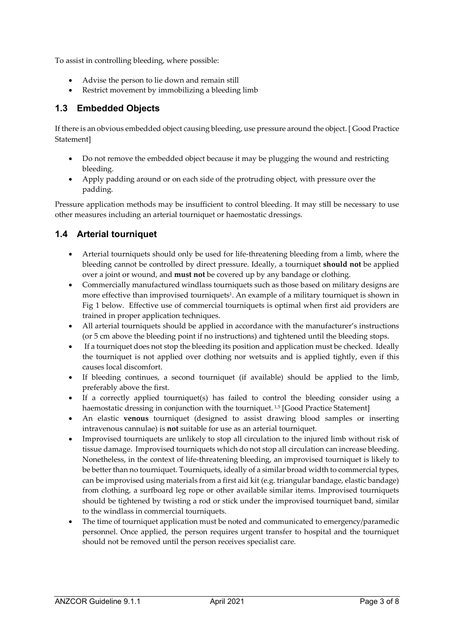To assist in controlling bleeding, where possible:

- Advise the person to lie down and remain still
- Restrict movement by immobilizing a bleeding limb

### **1.3 Embedded Objects**

If there is an obvious embedded object causing bleeding, use pressure around the object. [ Good Practice **Statement1** 

- Do not remove the embedded object because it may be plugging the wound and restricting bleeding.
- Apply padding around or on each side of the protruding object, with pressure over the padding.

Pressure application methods may be insufficient to control bleeding. It may still be necessary to use other measures including an arterial tourniquet or haemostatic dressings.

### **1.4 Arterial tourniquet**

- Arterial tourniquets should only be used for life-threatening bleeding from a limb, where the bleeding cannot be controlled by direct pressure. Ideally, a tourniquet **should not** be applied over a joint or wound, and **must not** be covered up by any bandage or clothing.
- Commercially manufactured windlass tourniquets such as those based on military designs are more effective than improvised tourniquets<sup>1</sup>. An example of a military tourniquet is shown in Fig 1 below. Effective use of commercial tourniquets is optimal when first aid providers are trained in proper application techniques.
- All arterial tourniquets should be applied in accordance with the manufacturer's instructions (or 5 cm above the bleeding point if no instructions) and tightened until the bleeding stops.
- If a tourniquet does not stop the bleeding its position and application must be checked. Ideally the tourniquet is not applied over clothing nor wetsuits and is applied tightly, even if this causes local discomfort.
- If bleeding continues, a second tourniquet (if available) should be applied to the limb, preferably above the first.
- If a correctly applied tourniquet(s) has failed to control the bleeding consider using a haemostatic dressing in conjunction with the tourniquet.<sup>1,5</sup> [Good Practice Statement]
- An elastic **venous** tourniquet (designed to assist drawing blood samples or inserting intravenous cannulae) is **not** suitable for use as an arterial tourniquet.
- Improvised tourniquets are unlikely to stop all circulation to the injured limb without risk of tissue damage. Improvised tourniquets which do not stop all circulation can increase bleeding. Nonetheless, in the context of life-threatening bleeding, an improvised tourniquet is likely to be better than no tourniquet. Tourniquets, ideally of a similar broad width to commercial types, can be improvised using materials from a first aid kit (e.g. triangular bandage, elastic bandage) from clothing, a surfboard leg rope or other available similar items. Improvised tourniquets should be tightened by twisting a rod or stick under the improvised tourniquet band, similar to the windlass in commercial tourniquets.
- The time of tourniquet application must be noted and communicated to emergency/paramedic personnel. Once applied, the person requires urgent transfer to hospital and the tourniquet should not be removed until the person receives specialist care.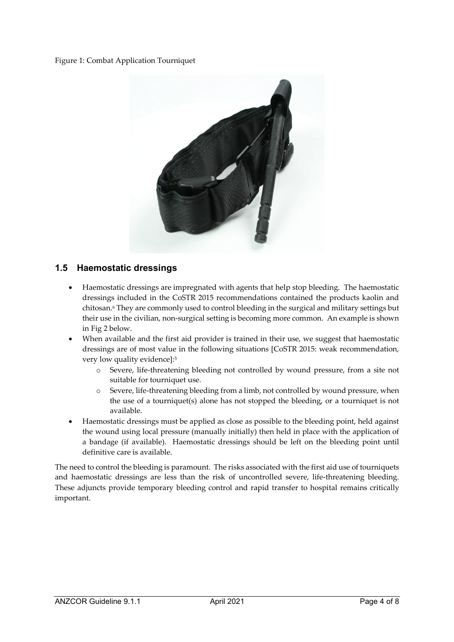#### Figure 1: Combat Application Tourniquet



#### **1.5 Haemostatic dressings**

- Haemostatic dressings are impregnated with agents that help stop bleeding. The haemostatic dressings included in the CoSTR 2015 recommendations contained the products kaolin and chitosan.6 They are commonly used to control bleeding in the surgical and military settings but their use in the civilian, non-surgical setting is becoming more common. An example is shown in Fig 2 below.
- When available and the first aid provider is trained in their use, we suggest that haemostatic dressings are of most value in the following situations [CoSTR 2015: weak recommendation, very low quality evidence]:5
	- o Severe, life-threatening bleeding not controlled by wound pressure, from a site not suitable for tourniquet use.
	- o Severe, life-threatening bleeding from a limb, not controlled by wound pressure, when the use of a tourniquet(s) alone has not stopped the bleeding, or a tourniquet is not available.
- Haemostatic dressings must be applied as close as possible to the bleeding point, held against the wound using local pressure (manually initially) then held in place with the application of a bandage (if available). Haemostatic dressings should be left on the bleeding point until definitive care is available.

The need to control the bleeding is paramount. The risks associated with the first aid use of tourniquets and haemostatic dressings are less than the risk of uncontrolled severe, life-threatening bleeding. These adjuncts provide temporary bleeding control and rapid transfer to hospital remains critically important.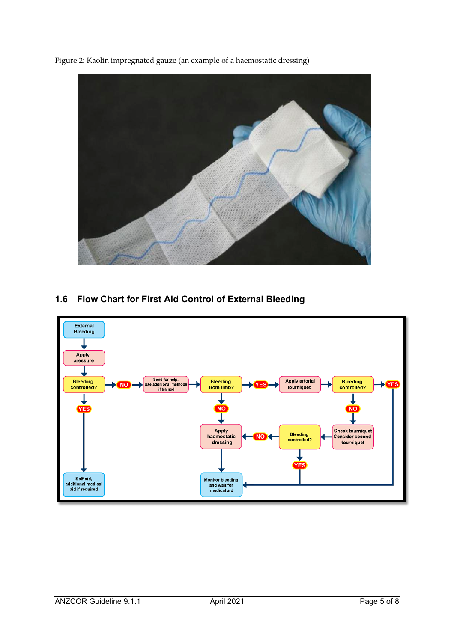Figure 2: Kaolin impregnated gauze (an example of a haemostatic dressing)



### **1.6 Flow Chart for First Aid Control of External Bleeding**

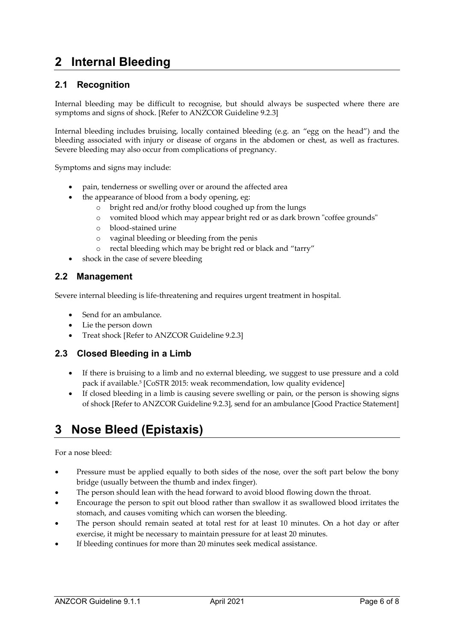## **2 Internal Bleeding**

### **2.1 Recognition**

Internal bleeding may be difficult to recognise, but should always be suspected where there are symptoms and signs of shock. [Refer to ANZCOR Guideline 9.2.3]

Internal bleeding includes bruising, locally contained bleeding (e.g. an "egg on the head") and the bleeding associated with injury or disease of organs in the abdomen or chest, as well as fractures. Severe bleeding may also occur from complications of pregnancy.

Symptoms and signs may include:

- pain, tenderness or swelling over or around the affected area
	- the appearance of blood from a body opening, eg:
		- o bright red and/or frothy blood coughed up from the lungs
		- o vomited blood which may appear bright red or as dark brown "coffee grounds"
		- o blood-stained urine
		- o vaginal bleeding or bleeding from the penis
		- o rectal bleeding which may be bright red or black and "tarry"
- shock in the case of severe bleeding

#### **2.2 Management**

Severe internal bleeding is life-threatening and requires urgent treatment in hospital.

- Send for an ambulance.
- Lie the person down
- Treat shock [Refer to ANZCOR Guideline 9.2.3]

#### **2.3 Closed Bleeding in a Limb**

- If there is bruising to a limb and no external bleeding, we suggest to use pressure and a cold pack if available. <sup>5</sup> [CoSTR 2015: weak recommendation, low quality evidence]
- If closed bleeding in a limb is causing severe swelling or pain, or the person is showing signs of shock [Refer to ANZCOR Guideline 9.2.3], send for an ambulance [Good Practice Statement]

## **3 Nose Bleed (Epistaxis)**

For a nose bleed:

- Pressure must be applied equally to both sides of the nose, over the soft part below the bony bridge (usually between the thumb and index finger).
- The person should lean with the head forward to avoid blood flowing down the throat.
- Encourage the person to spit out blood rather than swallow it as swallowed blood irritates the stomach, and causes vomiting which can worsen the bleeding.
- The person should remain seated at total rest for at least 10 minutes. On a hot day or after exercise, it might be necessary to maintain pressure for at least 20 minutes.
- If bleeding continues for more than 20 minutes seek medical assistance.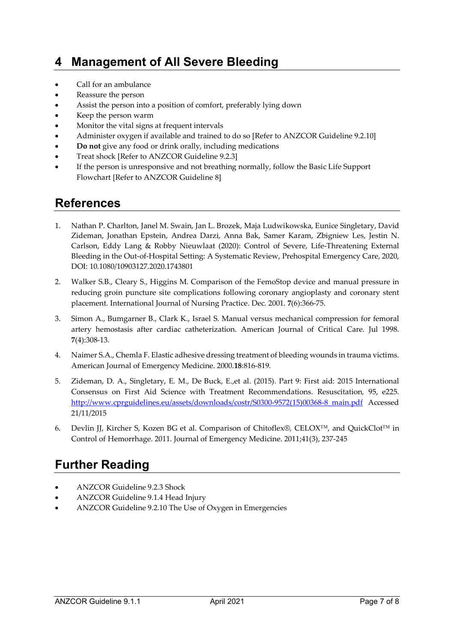## **4 Management of All Severe Bleeding**

- Call for an ambulance
- Reassure the person
- Assist the person into a position of comfort, preferably lying down
- Keep the person warm
- Monitor the vital signs at frequent intervals
- Administer oxygen if available and trained to do so [Refer to ANZCOR Guideline 9.2.10]
- **Do not** give any food or drink orally, including medications
- Treat shock [Refer to ANZCOR Guideline 9.2.3]
- If the person is unresponsive and not breathing normally, follow the Basic Life Support Flowchart [Refer to ANZCOR Guideline 8]

### **References**

- 1. Nathan P. Charlton, Janel M. Swain, Jan L. Brozek, Maja Ludwikowska, Eunice Singletary, David Zideman, Jonathan Epstein, Andrea Darzi, Anna Bak, Samer Karam, Zbigniew Les, Jestin N. Carlson, Eddy Lang & Robby Nieuwlaat (2020): Control of Severe, Life-Threatening External Bleeding in the Out-of-Hospital Setting: A Systematic Review, Prehospital Emergency Care, 2020, DOI: 10.1080/10903127.2020.1743801
- 2. Walker S.B., Cleary S., Higgins M. Comparison of the FemoStop device and manual pressure in reducing groin puncture site complications following coronary angioplasty and coronary stent placement. International Journal of Nursing Practice. Dec. 2001. **7**(6):366-75.
- 3. Simon A., Bumgarner B., Clark K., Israel S. Manual versus mechanical compression for femoral artery hemostasis after cardiac catheterization. American Journal of Critical Care. Jul 1998. **7**(4):308-13.
- 4. Naimer S.A., Chemla F. Elastic adhesive dressing treatment of bleeding wounds in trauma victims. American Journal of Emergency Medicine. 2000.**18**:816-819.
- 5. Zideman, D. A., Singletary, E. M., De Buck, E.,et al. (2015). Part 9: First aid: 2015 International Consensus on First Aid Science with Treatment Recommendations. Resuscitation*,* 95, e225. http://www.cprguidelines.eu/assets/downloads/costr/S0300-9572(15)00368-8\_main.pdf Accessed 21/11/2015
- 6. Devlin JJ, Kircher S, Kozen BG et al. Comparison of Chitoflex®, CELOX™, and QuickClot™ in Control of Hemorrhage. 2011. Journal of Emergency Medicine. 2011;41(3), 237-245

## **Further Reading**

- ANZCOR Guideline 9.2.3 Shock
- ANZCOR Guideline 9.1.4 Head Injury
- ANZCOR Guideline 9.2.10 The Use of Oxygen in Emergencies